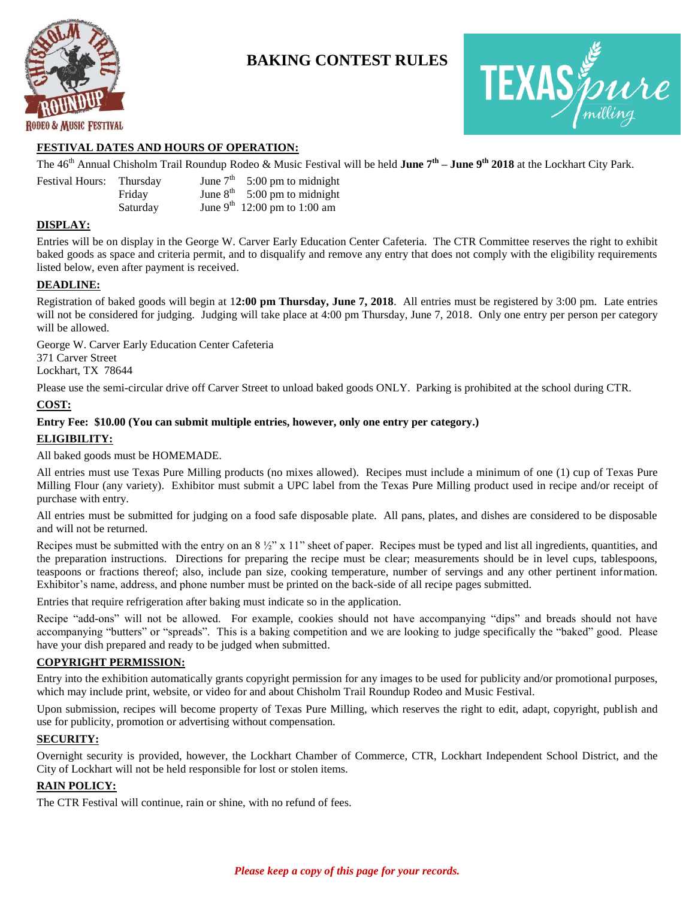

## **BAKING CONTEST RULES**



#### **FESTIVAL DATES AND HOURS OF OPERATION:**

The 46th Annual Chisholm Trail Roundup Rodeo & Music Festival will be held **June 7th – June 9th 2018** at the Lockhart City Park.

| <b>Festival Hours:</b> | Thursday | June $7th$ 5:00 pm to midnight           |
|------------------------|----------|------------------------------------------|
|                        | Fridav   | June $8^{th}$ 5:00 pm to midnight        |
|                        | Saturday | June 9 <sup>th</sup> 12:00 pm to 1:00 am |

#### **DISPLAY:**

Entries will be on display in the George W. Carver Early Education Center Cafeteria. The CTR Committee reserves the right to exhibit baked goods as space and criteria permit, and to disqualify and remove any entry that does not comply with the eligibility requirements listed below, even after payment is received.

#### **DEADLINE:**

Registration of baked goods will begin at 1**2:00 pm Thursday, June 7, 2018**. All entries must be registered by 3:00 pm. Late entries will not be considered for judging. Judging will take place at 4:00 pm Thursday, June 7, 2018. Only one entry per person per category will be allowed.

George W. Carver Early Education Center Cafeteria 371 Carver Street Lockhart, TX 78644

Please use the semi-circular drive off Carver Street to unload baked goods ONLY. Parking is prohibited at the school during CTR.

#### **COST:**

## **Entry Fee: \$10.00 (You can submit multiple entries, however, only one entry per category.) ELIGIBILITY:**

All baked goods must be HOMEMADE.

All entries must use Texas Pure Milling products (no mixes allowed). Recipes must include a minimum of one (1) cup of Texas Pure Milling Flour (any variety). Exhibitor must submit a UPC label from the Texas Pure Milling product used in recipe and/or receipt of purchase with entry.

All entries must be submitted for judging on a food safe disposable plate. All pans, plates, and dishes are considered to be disposable and will not be returned.

Recipes must be submitted with the entry on an  $8\frac{1}{2}$ " x 11" sheet of paper. Recipes must be typed and list all ingredients, quantities, and the preparation instructions. Directions for preparing the recipe must be clear; measurements should be in level cups, tablespoons, teaspoons or fractions thereof; also, include pan size, cooking temperature, number of servings and any other pertinent information. Exhibitor's name, address, and phone number must be printed on the back-side of all recipe pages submitted.

Entries that require refrigeration after baking must indicate so in the application.

Recipe "add-ons" will not be allowed. For example, cookies should not have accompanying "dips" and breads should not have accompanying "butters" or "spreads". This is a baking competition and we are looking to judge specifically the "baked" good. Please have your dish prepared and ready to be judged when submitted.

#### **COPYRIGHT PERMISSION:**

Entry into the exhibition automatically grants copyright permission for any images to be used for publicity and/or promotional purposes, which may include print, website, or video for and about Chisholm Trail Roundup Rodeo and Music Festival.

Upon submission, recipes will become property of Texas Pure Milling, which reserves the right to edit, adapt, copyright, publish and use for publicity, promotion or advertising without compensation.

#### **SECURITY:**

Overnight security is provided, however, the Lockhart Chamber of Commerce, CTR, Lockhart Independent School District, and the City of Lockhart will not be held responsible for lost or stolen items.

#### **RAIN POLICY:**

The CTR Festival will continue, rain or shine, with no refund of fees.

### *Please keep a copy of this page for your records.*